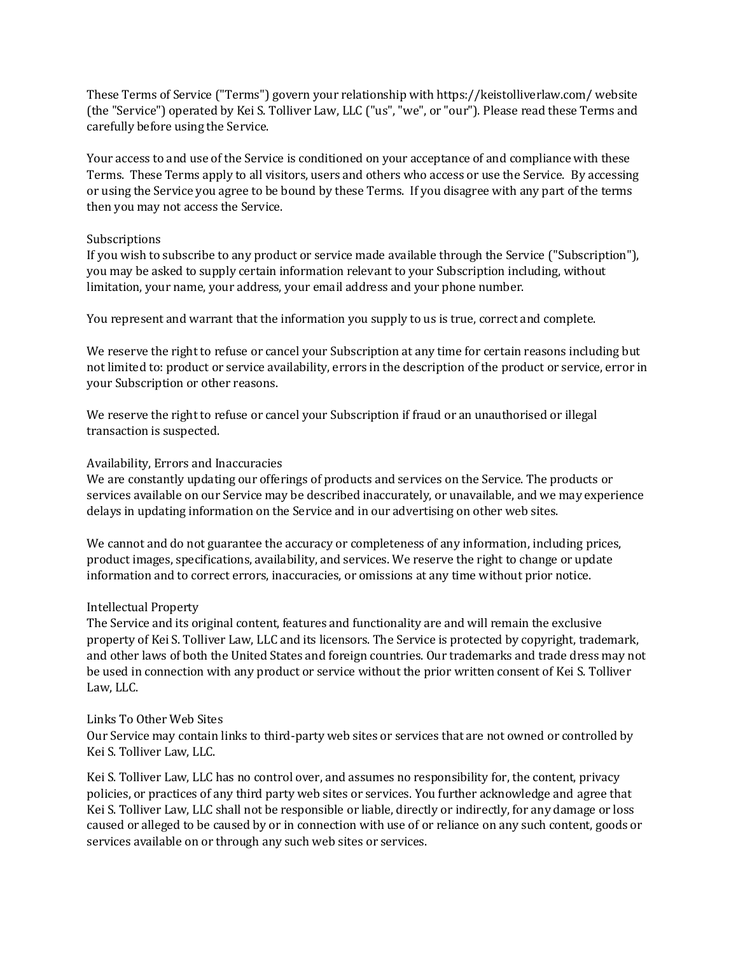These Terms of Service ("Terms") govern your relationship with https://keistolliverlaw.com/ website (the "Service") operated by Kei S. Tolliver Law, LLC ("us", "we", or "our"). Please read these Terms and carefully before using the Service.

Your access to and use of the Service is conditioned on your acceptance of and compliance with these Terms. These Terms apply to all visitors, users and others who access or use the Service. By accessing or using the Service you agree to be bound by these Terms. If you disagree with any part of the terms then you may not access the Service.

### Subscriptions

If you wish to subscribe to any product or service made available through the Service ("Subscription"), you may be asked to supply certain information relevant to your Subscription including, without limitation, your name, your address, your email address and your phone number.

You represent and warrant that the information you supply to us is true, correct and complete.

We reserve the right to refuse or cancel your Subscription at any time for certain reasons including but not limited to: product or service availability, errors in the description of the product or service, error in your Subscription or other reasons.

We reserve the right to refuse or cancel your Subscription if fraud or an unauthorised or illegal transaction is suspected.

## Availability, Errors and Inaccuracies

We are constantly updating our offerings of products and services on the Service. The products or services available on our Service may be described inaccurately, or unavailable, and we may experience delays in updating information on the Service and in our advertising on other web sites.

We cannot and do not guarantee the accuracy or completeness of any information, including prices, product images, specifications, availability, and services. We reserve the right to change or update information and to correct errors, inaccuracies, or omissions at any time without prior notice.

# Intellectual Property

The Service and its original content, features and functionality are and will remain the exclusive property of Kei S. Tolliver Law, LLC and its licensors. The Service is protected by copyright, trademark, and other laws of both the United States and foreign countries. Our trademarks and trade dress may not be used in connection with any product or service without the prior written consent of Kei S. Tolliver Law, LLC.

### Links To Other Web Sites

Our Service may contain links to third-party web sites or services that are not owned or controlled by Kei S. Tolliver Law, LLC.

Kei S. Tolliver Law, LLC has no control over, and assumes no responsibility for, the content, privacy policies, or practices of any third party web sites or services. You further acknowledge and agree that Kei S. Tolliver Law, LLC shall not be responsible or liable, directly or indirectly, for any damage or loss caused or alleged to be caused by or in connection with use of or reliance on any such content, goods or services available on or through any such web sites or services.